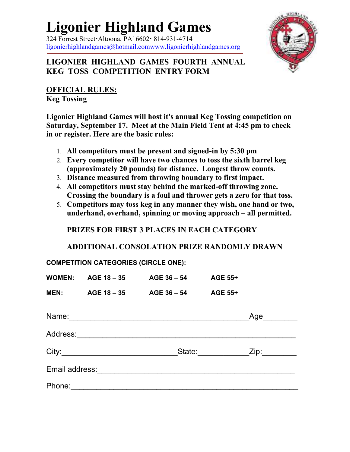## **Ligonier Highland Games**

 $324$  Forrest Street Altoona, PA16602  $\cdot$  814-931-4714 ligonierhighlandgames@hotmail.comwww.ligonierhighlandgames.org



## **LIGONIER HIGHLAND GAMES FOURTH ANNUAL KEG TOSS COMPETITION ENTRY FORM**

**OFFICIAL RULES:**

**Keg Tossing** 

**Ligonier Highland Games will host it's annual Keg Tossing competition on Saturday, September 17. Meet at the Main Field Tent at 4:45 pm to check in or register. Here are the basic rules:**

- 1. **All competitors must be present and signed-in by 5:30 pm**
- 2. **Every competitor will have two chances to toss the sixth barrel keg (approximately 20 pounds) for distance. Longest throw counts.**
- 3. **Distance measured from throwing boundary to first impact.**
- 4. **All competitors must stay behind the marked-off throwing zone. Crossing the boundary is a foul and thrower gets a zero for that toss.**
- 5. **Competitors may toss keg in any manner they wish, one hand or two, underhand, overhand, spinning or moving approach – all permitted.**

**PRIZES FOR FIRST 3 PLACES IN EACH CATEGORY** 

**ADDITIONAL CONSOLATION PRIZE RANDOMLY DRAWN**

**COMPETITION CATEGORIES (CIRCLE ONE):** 

|                | <b>WOMEN: AGE 18 – 35</b> | $AGE 36 - 54$ | <b>AGE 55+</b> |      |
|----------------|---------------------------|---------------|----------------|------|
| <b>MEN:</b>    | AGE 18 – 35               | $AGE 36 - 54$ | <b>AGE 55+</b> |      |
| Name:          |                           |               |                | Age  |
| Address:       |                           |               |                |      |
|                |                           | State:        |                | Zip: |
| Email address: |                           |               |                |      |
| Phone:         |                           |               |                |      |